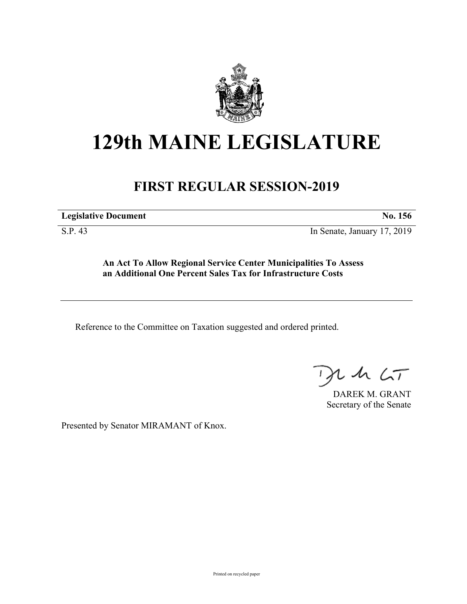

## **129th MAINE LEGISLATURE**

## **FIRST REGULAR SESSION-2019**

**Legislative Document No. 156**

S.P. 43 In Senate, January 17, 2019

**An Act To Allow Regional Service Center Municipalities To Assess an Additional One Percent Sales Tax for Infrastructure Costs**

Reference to the Committee on Taxation suggested and ordered printed.

 $125$ 

DAREK M. GRANT Secretary of the Senate

Presented by Senator MIRAMANT of Knox.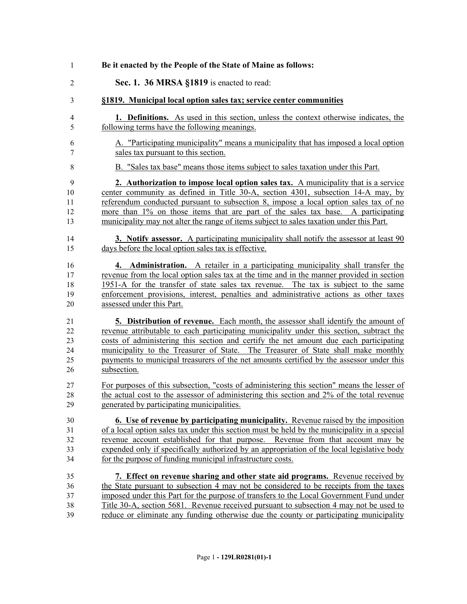| $\mathbf{1}$            | Be it enacted by the People of the State of Maine as follows:                                |
|-------------------------|----------------------------------------------------------------------------------------------|
| $\overline{2}$          | Sec. 1. 36 MRSA §1819 is enacted to read:                                                    |
| 3                       | §1819. Municipal local option sales tax; service center communities                          |
| $\overline{\mathbf{4}}$ | <b>1. Definitions.</b> As used in this section, unless the context otherwise indicates, the  |
| 5                       | following terms have the following meanings.                                                 |
| 6                       | A. "Participating municipality" means a municipality that has imposed a local option         |
| 7                       | sales tax pursuant to this section.                                                          |
| $8\,$                   | B. "Sales tax base" means those items subject to sales taxation under this Part.             |
| 9                       | 2. Authorization to impose local option sales tax. A municipality that is a service          |
| 10                      | center community as defined in Title 30-A, section 4301, subsection 14-A may, by             |
| 11                      | referendum conducted pursuant to subsection 8, impose a local option sales tax of no         |
| 12                      | more than 1% on those items that are part of the sales tax base. A participating             |
| 13                      | municipality may not alter the range of items subject to sales taxation under this Part.     |
| 14                      | 3. Notify assessor. A participating municipality shall notify the assessor at least 90       |
| 15                      | days before the local option sales tax is effective.                                         |
| 16                      | 4. Administration. A retailer in a participating municipality shall transfer the             |
| 17                      | revenue from the local option sales tax at the time and in the manner provided in section    |
| 18                      | 1951-A for the transfer of state sales tax revenue. The tax is subject to the same           |
| 19                      | enforcement provisions, interest, penalties and administrative actions as other taxes        |
| 20                      | assessed under this Part.                                                                    |
| 21                      | <b>5. Distribution of revenue.</b> Each month, the assessor shall identify the amount of     |
| 22                      | revenue attributable to each participating municipality under this section, subtract the     |
| 23                      | costs of administering this section and certify the net amount due each participating        |
| 24                      | municipality to the Treasurer of State. The Treasurer of State shall make monthly            |
| 25                      | payments to municipal treasurers of the net amounts certified by the assessor under this     |
| 26                      | subsection.                                                                                  |
| 27                      | For purposes of this subsection, "costs of administering this section" means the lesser of   |
| 28                      | the actual cost to the assessor of administering this section and 2% of the total revenue    |
| 29                      | generated by participating municipalities.                                                   |
| 30                      | <b>6.</b> Use of revenue by participating municipality. Revenue raised by the imposition     |
| 31                      | of a local option sales tax under this section must be held by the municipality in a special |
| 32                      | revenue account established for that purpose. Revenue from that account may be               |
| 33                      | expended only if specifically authorized by an appropriation of the local legislative body   |
| 34                      | for the purpose of funding municipal infrastructure costs.                                   |
| 35                      | 7. Effect on revenue sharing and other state aid programs. Revenue received by               |
| 36                      | the State pursuant to subsection 4 may not be considered to be receipts from the taxes       |
| 37                      | imposed under this Part for the purpose of transfers to the Local Government Fund under      |
| 38                      | Title 30-A, section 5681. Revenue received pursuant to subsection 4 may not be used to       |
| 39                      | reduce or eliminate any funding otherwise due the county or participating municipality       |